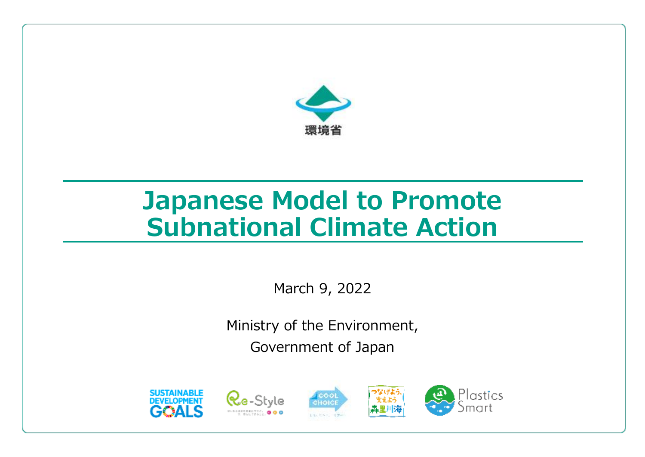

# **Japanese Model to Promote Subnational Climate Action**

March 9, 2022

Ministry of the Environment, Government of Japan







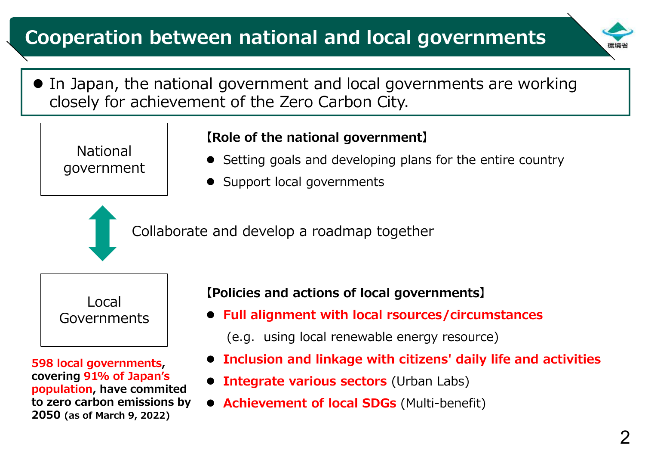# **Cooperation between national and local governments**

- 
- In Japan, the national government and local governments are working closely for achievement of the Zero Carbon City.

National government

### **【Role of the national government】**

- Setting goals and developing plans for the entire country
- Support local governments

Collaborate and develop a roadmap together



**598 local governments, covering 91% of Japan's population, have commited to zero carbon emissions by 2050 (as of March 9, 2022)**

**【Policies and actions of local governments】**

- **Full alignment with local rsources/circumstances**
	- (e.g. using local renewable energy resource)
- **Inclusion and linkage with citizens' daily life and activities**
- **Integrate various sectors** (Urban Labs)
- **Achievement of local SDGs** (Multi-benefit)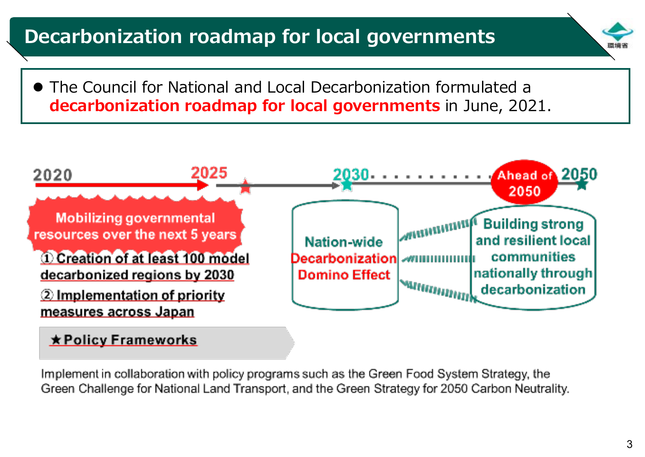# **Decarbonization roadmap for local governments**

 The Council for National and Local Decarbonization formulated a **decarbonization roadmap for local governments** in June, 2021.



#### **\* Policy Frameworks**

Implement in collaboration with policy programs such as the Green Food System Strategy, the Green Challenge for National Land Transport, and the Green Strategy for 2050 Carbon Neutrality.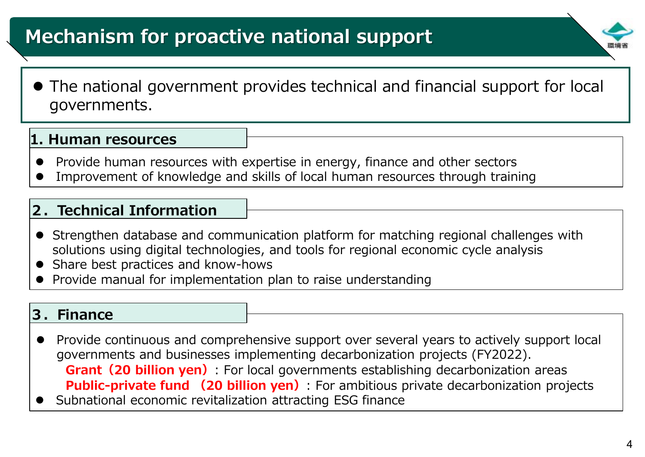# **Mechanism for proactive national support**

- 
- The national government provides technical and financial support for local governments.

#### **1. Human resources**

- Provide human resources with expertise in energy, finance and other sectors
- Improvement of knowledge and skills of local human resources through training

### **2.Technical Information**

- Strengthen database and communication platform for matching regional challenges with solutions using digital technologies, and tools for regional economic cycle analysis
- Share best practices and know-hows
- Provide manual for implementation plan to raise understanding

#### **3.Finance**

- Provide continuous and comprehensive support over several years to actively support local governments and businesses implementing decarbonization projects (FY2022). **Grant(20 billion yen)**: For local governments establishing decarbonization areas **Public-private fund (20 billion yen)**: For ambitious private decarbonization projects
- Subnational economic revitalization attracting ESG finance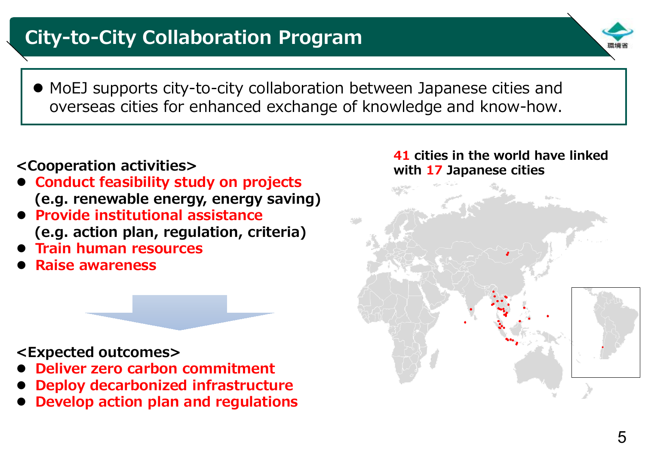# **City-to-City Collaboration Program**

- 
- MoEJ supports city-to-city collaboration between Japanese cities and overseas cities for enhanced exchange of knowledge and know-how.

# **<Cooperation activities>**

- **Conduct feasibility study on projects (e.g. renewable energy, energy saving)**
- **Provide institutional assistance (e.g. action plan, regulation, criteria)**
- **Train human resources**
- **Raise awareness**

## **<Expected outcomes>**

- **Deliver zero carbon commitment**
- **Deploy decarbonized infrastructure**
- **Develop action plan and regulations**

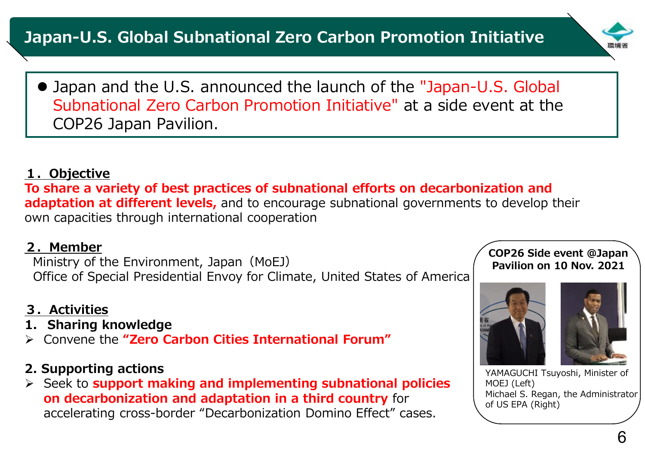

 Japan and the U.S. announced the launch of the "Japan-U.S. Global Subnational Zero Carbon Promotion Initiative" at a side event at the COP26 Japan Pavilion.

#### **1.Objective**

**To share a variety of best practices of subnational efforts on decarbonization and adaptation at different levels,** and to encourage subnational governments to develop their own capacities through international cooperation

#### **2.Member**

Ministry of the Environment, Japan (MoEJ) Office of Special Presidential Envoy for Climate, United States of America

### **3.Activities**

- **1. Sharing knowledge**
- Convene the **"Zero Carbon Cities International Forum"**

### **2. Supporting actions**

 Seek to **support making and implementing subnational policies on decarbonization and adaptation in a third country** for accelerating cross-border "Decarbonization Domino Effect" cases.

#### **COP26 Side event @Japan Pavilion on 10 Nov. 2021**



YAMAGUCHI Tsuyoshi, Minister of MOEJ (Left) Michael S. Regan, the Administrator of US EPA (Right)